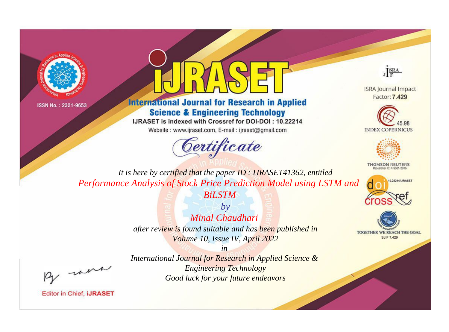



## **International Journal for Research in Applied Science & Engineering Technology**

IJRASET is indexed with Crossref for DOI-DOI: 10.22214

Website: www.ijraset.com, E-mail: ijraset@gmail.com





**ISRA Journal Impact** Factor: 7.429





**THOMSON REUTERS** 



TOGETHER WE REACH THE GOAL **SJIF 7.429** 

*It is here by certified that the paper ID : IJRASET41362, entitled Performance Analysis of Stock Price Prediction Model using LSTM and* 

*BiLSTM*

*by Minal Chaudhari after review is found suitable and has been published in Volume 10, Issue IV, April 2022*

*in* 

, un

*International Journal for Research in Applied Science & Engineering Technology Good luck for your future endeavors*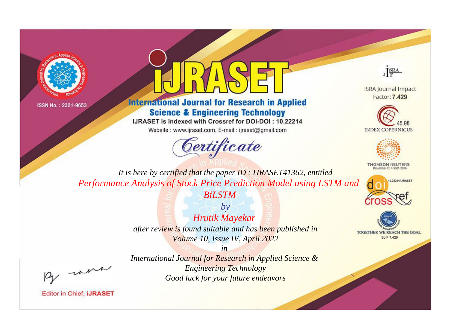



## **International Journal for Research in Applied Science & Engineering Technology**

IJRASET is indexed with Crossref for DOI-DOI: 10.22214

Website: www.ijraset.com, E-mail: ijraset@gmail.com



JERA

**ISRA Journal Impact** Factor: 7.429





**THOMSON REUTERS** 



TOGETHER WE REACH THE GOAL **SJIF 7.429** 

*It is here by certified that the paper ID : IJRASET41362, entitled Performance Analysis of Stock Price Prediction Model using LSTM and* 

*BiLSTM*

*by Hrutik Mayekar after review is found suitable and has been published in Volume 10, Issue IV, April 2022*

*in* 

, un

*International Journal for Research in Applied Science & Engineering Technology Good luck for your future endeavors*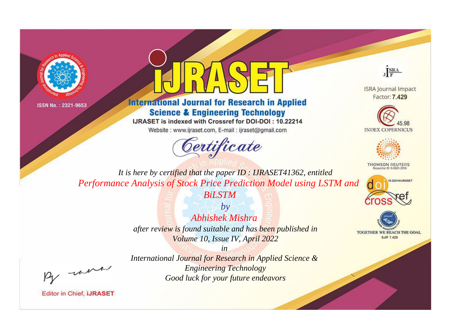



## **International Journal for Research in Applied Science & Engineering Technology**

IJRASET is indexed with Crossref for DOI-DOI: 10.22214

Website: www.ijraset.com, E-mail: ijraset@gmail.com



JERA

**ISRA Journal Impact** Factor: 7.429





**THOMSON REUTERS** 



TOGETHER WE REACH THE GOAL **SJIF 7.429** 

*It is here by certified that the paper ID : IJRASET41362, entitled Performance Analysis of Stock Price Prediction Model using LSTM and* 

*BiLSTM*

*by Abhishek Mishra after review is found suitable and has been published in Volume 10, Issue IV, April 2022*

, un

*International Journal for Research in Applied Science & Engineering Technology Good luck for your future endeavors*

*in*